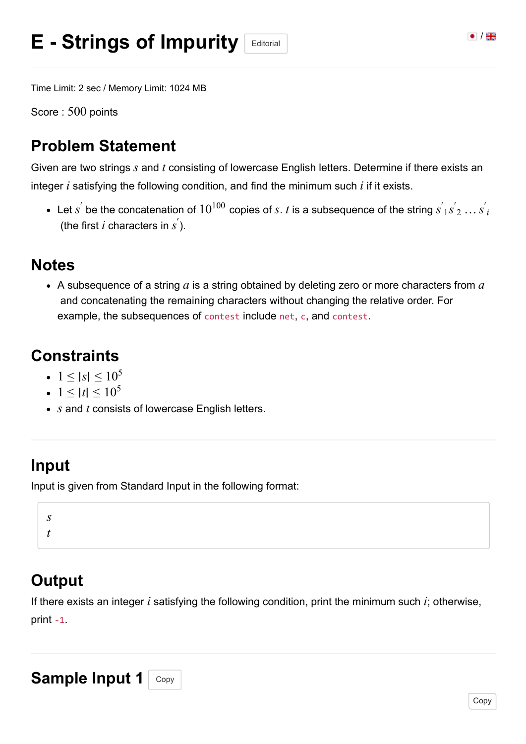Time Limit: 2 sec / Memory Limit: 1024 MB

Score :  $500$  points

### **Problem Statement**

Given are two strings  $s$  and  $t$  consisting of lowercase English letters. Determine if there exists an integer  $i$  satisfying the following condition, and find the minimum such  $i$  if it exists.

Let  $s^{'}$  be the concatenation of  $10^{100}$  copies of  $s.$   $t$  is a subsequence of the string  $s^{'}{}_1s^{'}{}_2 \dots s^{'}{}_i$ (the first  $i$  characters in  $s^{'}$ ).

#### **Notes**

A subsequence of a string  $a$  is a string obtained by deleting zero or more characters from  $a$ and concatenating the remaining characters without changing the relative order. For example, the subsequences of contest include net, c, and contest.

### **Constraints**

- $1 ≤ |s| ≤ 10<sup>5</sup>$
- $1 ≤ |t| ≤ 10<sup>5</sup>$
- $s$  and  $t$  consists of lowercase English letters.

#### **Input**

Input is given from Standard Input in the following format:

*s t*

## **Output**

If there exists an integer  $i$  satisfying the following condition, print the minimum such  $i$ ; otherwise, print -1.

# Sample Input 1 Copy